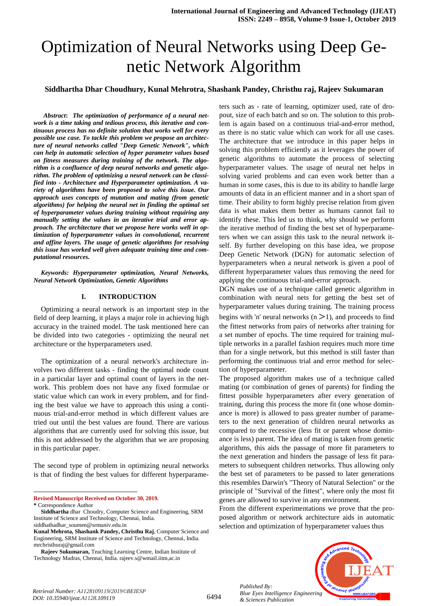# Optimization of Neural Networks using Deep Genetic Network Algorithm

#### **Siddhartha Dhar Choudhury, Kunal Mehrotra, Shashank Pandey, Christhu raj, Rajeev Sukumaran**

*Abstract***:** *The optimization of performance of a neural network is a time taking and tedious process, this iterative and continuous process has no definite solution that works well for every possible use case. To tackle this problem we propose an architecture of neural networks called "Deep Genetic Network", which can help in automatic selection of hyper parameter values based on fitness measures during training of the network. The algorithm is a confluence of deep neural networks and genetic algorithm. The problem of optimizing a neural network can be classified into - Architecture and Hyperparameter optimization. A variety of algorithms have been proposed to solve this issue. Our approach uses concepts of mutation and mating (from genetic algorithms) for helping the neural net in finding the optimal set of hyperparameter values during training without requiring any manually setting the values in an iterative trial and error approach. The architecture that we propose here works well in optimization of hyperparameter values in convolutional, recurrent and affine layers. The usage of genetic algorithms for resolving this issue has worked well given adequate training time and computational resources.*

*Keywords: Hyperparameter optimization, Neural Networks, Neural Network Optimization, Genetic Algorithms*

#### **I. INTRODUCTION**

Optimizing a neural network is an important step in the field of deep learning, it plays a major role in achieving high accuracy in the trained model. The task mentioned here can be divided into two categories - optimizing the neural net architecture or the hyperparameters used.

The optimization of a neural network's architecture involves two different tasks - finding the optimal node count in a particular layer and optimal count of layers in the network. This problem does not have any fixed formulae or static value which can work in every problem, and for finding the best value we have to approach this using a continuous trial-and-error method in which different values are tried out until the best values are found. There are various algorithms that are currently used for solving this issue, but this is not addressed by the algorithm that we are proposing in this particular paper.

The second type of problem in optimizing neural networks is that of finding the best values for different hyperparame-

**Revised Manuscript Received on October 30, 2019.**

l

ters such as - rate of learning, optimizer used, rate of dropout, size of each batch and so on. The solution to this problem is again based on a continuous trial-and-error method, as there is no static value which can work for all use cases. The architecture that we introduce in this paper helps in solving this problem efficiently as it leverages the power of genetic algorithms to automate the process of selecting hyperparameter values. The usage of neural net helps in solving varied problems and can even work better than a human in some cases, this is due to its ability to handle large amounts of data in an efficient manner and in a short span of time. Their ability to form highly precise relation from given data is what makes them better as humans cannot fail to identify these. This led us to think, why should we perform the iterative method of finding the best set of hyperparameters when we can assign this task to the neural network itself. By further developing on this base idea, we propose Deep Genetic Network (DGN) for automatic selection of hyperparameters when a neural network is given a pool of different hyperparameter values thus removing the need for applying the continuous trial-and-error approach.

DGN makes use of a technique called genetic algorithm in combination with neural nets for getting the best set of hyperparameter values during training. The training process begins with 'n' neural networks ( $n > 1$ ), and proceeds to find the fittest networks from pairs of networks after training for a set number of epochs. The time required for training multiple networks in a parallel fashion requires much more time than for a single network, but this method is still faster than performing the continuous trial and error method for selection of hyperparameter.

The proposed algorithm makes use of a technique called mating (or combination of genes of parents) for finding the fittest possible hyperparameters after every generation of training, during this process the more fit (one whose dominance is more) is allowed to pass greater number of parameters to the next generation of children neural networks as compared to the recessive (less fit or parent whose dominance is less) parent. The idea of mating is taken from genetic algorithms, this aids the passage of more fit parameters to the next generation and hinders the passage of less fit parameters to subsequent children networks. Thus allowing only the best set of parameters to be passed to later generations this resembles Darwin's "Theory of Natural Selection" or the principle of "Survival of the fittest", where only the most fit genes are allowed to survive in any environment.

From the different experimentations we prove that the proposed algorithm or network architecture aids in automatic selection and optimization of hyperparameter values thus





**<sup>\*</sup>** Correspondence Author

**Siddhartha** dhar Choudry, Computer Science and Engineering, SRM Institute of Science and Technology, Chennai, India. siddhathadhar\_soumen@srmuniv.edu.in

**Kunal Mehrota, Shashank Pandey, Christhu Raj**, Computer Science and Engineering, SRM Institute of Science and Technology, Chennai, India. mrchristhuraj@gmail.com

**Rajeev Sukumaran,** Teaching Learning Centre, Indian Institute of Technology Madras, Chennai, India. rajeev.s@wmail.iitm,ac.in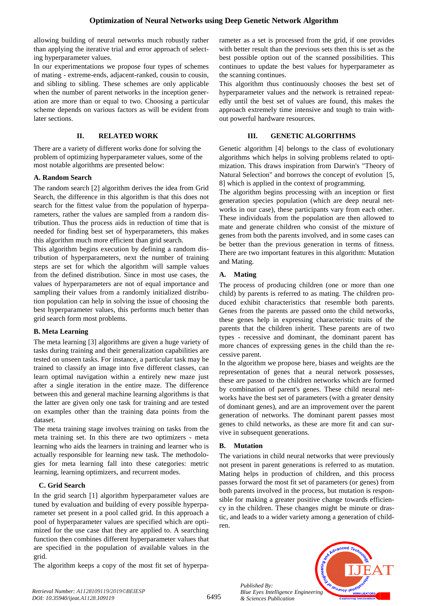allowing building of neural networks much robustly rather than applying the iterative trial and error approach of selecting hyperparameter values.

In our experimentations we propose four types of schemes of mating - extreme-ends, adjacent-ranked, cousin to cousin, and sibling to sibling. These schemes are only applicable when the number of parent networks in the inception generation are more than or equal to two. Choosing a particular scheme depends on various factors as will be evident from later sections.

## **II. RELATED WORK**

There are a variety of different works done for solving the problem of optimizing hyperparameter values, some of the most notable algorithms are presented below:

## **A. Random Search**

The random search [2] algorithm derives the idea from Grid Search, the difference in this algorithm is that this does not search for the fittest value from the population of hyperparameters, rather the values are sampled from a random distribution. Thus the process aids in reduction of time that is needed for finding best set of hyperparameters, this makes this algorithm much more efficient than grid search.

This algorithm begins execution by defining a random distribution of hyperparameters, next the number of training steps are set for which the algorithm will sample values from the defined distribution. Since in most use cases, the values of hyperparameters are not of equal importance and sampling their values from a randomly initialized distribution population can help in solving the issue of choosing the best hyperparameter values, this performs much better than grid search form most problems.

# **B. Meta Learning**

The meta learning [3] algorithms are given a huge variety of tasks during training and their generalization capabilities are tested on unseen tasks. For instance, a particular task may be trained to classify an image into five different classes, can learn optimal navigation within a entirely new maze just after a single iteration in the entire maze. The difference between this and general machine learning algorithms is that the latter are given only one task for training and are tested on examples other than the training data points from the dataset.

The meta training stage involves training on tasks from the meta training set. In this there are two optimizers - meta learning who aids the learners in training and learner who is actually responsible for learning new task. The methodologies for meta learning fall into these categories: metric learning, learning optimizers, and recurrent modes.

# **C. Grid Search**

In the grid search [1] algorithm hyperparameter values are tuned by evaluation and building of every possible hyperparameter set present in a pool called grid. In this approach a pool of hyperparameter values are specified which are optimized for the use case that they are applied to. A searching function then combines different hyperparameter values that are specified in the population of available values in the grid.

The algorithm keeps a copy of the most fit set of hyperpa-

rameter as a set is processed from the grid, if one provides with better result than the previous sets then this is set as the best possible option out of the scanned possibilities. This continues to update the best values for hyperparameter as the scanning continues.

This algorithm thus continuously chooses the best set of hyperparameter values and the network is retrained repeatedly until the best set of values are found, this makes the approach extremely time intensive and tough to train without powerful hardware resources.

## **III. GENETIC ALGORITHMS**

Genetic algorithm [4] belongs to the class of evolutionary algorithms which helps in solving problems related to optimization. This draws inspiration from Darwin's "Theory of Natural Selection" and borrows the concept of evolution [5, 8] which is applied in the context of programming.

The algorithm begins processing with an inception or first generation species population (which are deep neural networks in our case), these participants vary from each other. These individuals from the population are then allowed to mate and generate children who consist of the mixture of genes from both the parents involved, and in some cases can be better than the previous generation in terms of fitness. There are two important features in this algorithm: Mutation and Mating.

# **A. Mating**

The process of producing children (one or more than one child) by parents is referred to as mating. The children produced exhibit characteristics that resemble both parents. Genes from the parents are passed onto the child networks, these genes help in expressing characteristic traits of the parents that the children inherit. These parents are of two types - recessive and dominant, the dominant parent has more chances of expressing genes in the child than the recessive parent.

In the algorithm we propose here, biases and weights are the representation of genes that a neural network possesses, these are passed to the children networks which are formed by combination of parent's genes. These child neural networks have the best set of parameters (with a greater density of dominant genes), and are an improvement over the parent generation of networks. The dominant parent passes most genes to child networks, as these are more fit and can survive in subsequent generations.

# **B. Mutation**

The variations in child neural networks that were previously not present in parent generations is referred to as mutation. Mating helps in production of children, and this process passes forward the most fit set of parameters (or genes) from both parents involved in the process, but mutation is responsible for making a greater positive change towards efficiency in the children. These changes might be minute or drastic, and leads to a wider variety among a generation of children.

leusnor leu

*Published By: Blue Eyes Intelligence Engineering & Sciences Publication*

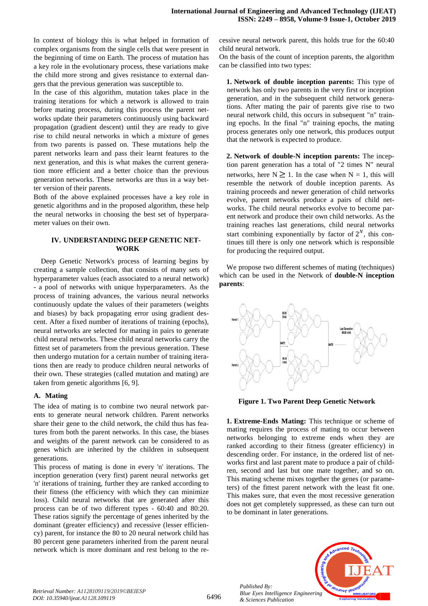In context of biology this is what helped in formation of complex organisms from the single cells that were present in the beginning of time on Earth. The process of mutation has a key role in the evolutionary process, these variations make the child more strong and gives resistance to external dangers that the previous generation was susceptible to.

In the case of this algorithm, mutation takes place in the training iterations for which a network is allowed to train before mating process, during this process the parent networks update their parameters continuously using backward propagation (gradient descent) until they are ready to give rise to child neural networks in which a mixture of genes from two parents is passed on. These mutations help the parent networks learn and pass their learnt features to the next generation, and this is what makes the current generation more efficient and a better choice than the previous generation networks. These networks are thus in a way better version of their parents.

Both of the above explained processes have a key role in genetic algorithms and in the proposed algorithm, these help the neural networks in choosing the best set of hyperparameter values on their own.

#### **IV. UNDERSTANDING DEEP GENETIC NET-WORK**

Deep Genetic Network's process of learning begins by creating a sample collection, that consists of many sets of hyperparameter values (each associated to a neural network) - a pool of networks with unique hyperparameters. As the process of training advances, the various neural networks continuously update the values of their parameters (weights and biases) by back propagating error using gradient descent. After a fixed number of iterations of training (epochs), neural networks are selected for mating in pairs to generate child neural networks. These child neural networks carry the fittest set of parameters from the previous generation. These then undergo mutation for a certain number of training iterations then are ready to produce children neural networks of their own. These strategies (called mutation and mating) are taken from genetic algorithms [6, 9].

#### **A. Mating**

The idea of mating is to combine two neural network parents to generate neural network children. Parent networks share their gene to the child network, the child thus has features from both the parent networks. In this case, the biases and weights of the parent network can be considered to as genes which are inherited by the children in subsequent generations.

This process of mating is done in every 'n' iterations. The inception generation (very first) parent neural networks get 'n' iterations of training, further they are ranked according to their fitness (the efficiency with which they can minimize loss). Child neural networks that are generated after this process can be of two different types - 60:40 and 80:20. These ratios signify the percentage of genes inherited by the dominant (greater efficiency) and recessive (lesser efficiency) parent, for instance the 80 to 20 neural network child has 80 percent gene parameters inherited from the parent neural network which is more dominant and rest belong to the re-

cessive neural network parent, this holds true for the 60:40 child neural network.

On the basis of the count of inception parents, the algorithm can be classified into two types:

**1. Network of double inception parents:** This type of network has only two parents in the very first or inception generation, and in the subsequent child network generations. After mating the pair of parents give rise to two neural network child, this occurs in subsequent "n" training epochs. In the final "n" training epochs, the mating process generates only one network, this produces output that the network is expected to produce.

**2. Network of double-N inception parents:** The inception parent generation has a total of "2 times N" neural networks, here  $N \geq 1$ . In the case when  $N = 1$ , this will resemble the network of double inception parents. As training proceeds and newer generation of child networks evolve, parent networks produce a pairs of child networks. The child neural networks evolve to become parent network and produce their own child networks. As the training reaches last generations, child neural networks start combining exponentially by factor of  $2^N$ , this continues till there is only one network which is responsible for producing the required output.

We propose two different schemes of mating (techniques) which can be used in the Network of **double-N inception parents**:



**Figure 1. Two Parent Deep Genetic Network**

**1. Extreme-Ends Mating:** This technique or scheme of mating requires the process of mating to occur between networks belonging to extreme ends when they are ranked according to their fitness (greater efficiency) in descending order. For instance, in the ordered list of networks first and last parent mate to produce a pair of children, second and last but one mate together, and so on. This mating scheme mixes together the genes (or parameters) of the fittest parent network with the least fit one. This makes sure, that even the most recessive generation does not get completely suppressed, as these can turn out to be dominant in later generations.



*Published By:*

*& Sciences Publication*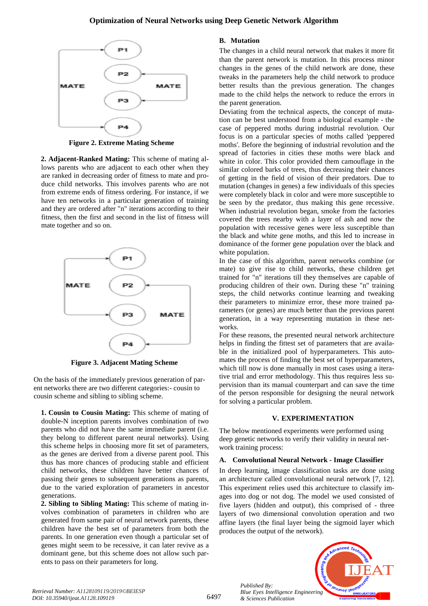

**Figure 2. Extreme Mating Scheme**

**2. Adjacent-Ranked Mating:** This scheme of mating allows parents who are adjacent to each other when they are ranked in decreasing order of fitness to mate and produce child networks. This involves parents who are not from extreme ends of fitness ordering. For instance, if we have ten networks in a particular generation of training and they are ordered after "n" iterations according to their fitness, then the first and second in the list of fitness will mate together and so on.



**Figure 3. Adjacent Mating Scheme**

On the basis of the immediately previous generation of parent networks there are two different categories:- cousin to cousin scheme and sibling to sibling scheme.

**1. Cousin to Cousin Mating:** This scheme of mating of double-N inception parents involves combination of two parents who did not have the same immediate parent (i.e. they belong to different parent neural networks). Using this scheme helps in choosing more fit set of parameters, as the genes are derived from a diverse parent pool. This thus has more chances of producing stable and efficient child networks, these children have better chances of passing their genes to subsequent generations as parents, due to the varied exploration of parameters in ancestor generations.

**2. Sibling to Sibling Mating:** This scheme of mating involves combination of parameters in children who are generated from same pair of neural network parents, these children have the best set of parameters from both the parents. In one generation even though a particular set of genes might seem to be recessive, it can later revive as a dominant gene, but this scheme does not allow such parents to pass on their parameters for long.

## **B. Mutation**

The changes in a child neural network that makes it more fit than the parent network is mutation. In this process minor changes in the genes of the child network are done, these tweaks in the parameters help the child network to produce better results than the previous generation. The changes made to the child helps the network to reduce the errors in the parent generation.

Deviating from the technical aspects, the concept of mutation can be best understood from a biological example - the case of peppered moths during industrial revolution. Our focus is on a particular species of moths called 'peppered moths'. Before the beginning of industrial revolution and the spread of factories in cities these moths were black and white in color. This color provided them camouflage in the similar colored barks of trees, thus decreasing their chances of getting in the field of vision of their predators. Due to mutation (changes in genes) a few individuals of this species were completely black in color and were more susceptible to be seen by the predator, thus making this gene recessive. When industrial revolution began, smoke from the factories covered the trees nearby with a layer of ash and now the population with recessive genes were less susceptible than the black and white gene moths, and this led to increase in dominance of the former gene population over the black and white population.

In the case of this algorithm, parent networks combine (or mate) to give rise to child networks, these children get trained for "n" iterations till they themselves are capable of producing children of their own. During these "n" training steps, the child networks continue learning and tweaking their parameters to minimize error, these more trained parameters (or genes) are much better than the previous parent generation, in a way representing mutation in these networks.

For these reasons, the presented neural network architecture helps in finding the fittest set of parameters that are available in the initialized pool of hyperparameters. This automates the process of finding the best set of hyperparameters, which till now is done manually in most cases using a iterative trial and error methodology. This thus requires less supervision than its manual counterpart and can save the time of the person responsible for designing the neural network for solving a particular problem.

## **V. EXPERIMENTATION**

The below mentioned experiments were performed using deep genetic networks to verify their validity in neural network training process:

## **A. Convolutional Neural Network - Image Classifier**

In deep learning, image classification tasks are done using an architecture called convolutional neural network [7, 12]. This experiment relies used this architecture to classify images into dog or not dog. The model we used consisted of five layers (hidden and output), this comprised of - three layers of two dimensional convolution operation and two affine layers (the final layer being the sigmoid layer which produces the output of the network).



*Published By:*

*& Sciences Publication*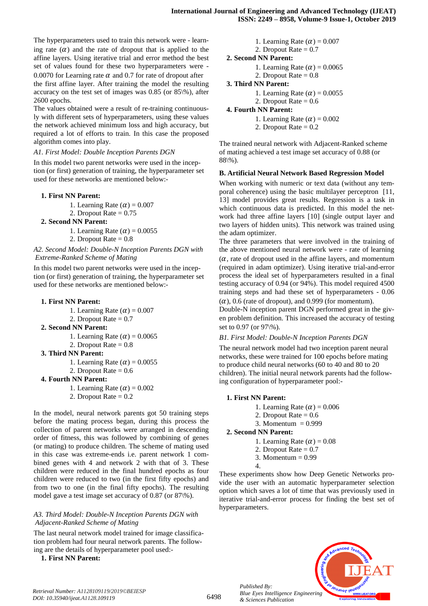The hyperparameters used to train this network were - learning rate  $(a)$  and the rate of dropout that is applied to the affine layers. Using iterative trial and error method the best set of values found for these two hyperparameters were - 0.0070 for Learning rate  $\alpha$  and 0.7 for rate of dropout after

the first affine layer. After training the model the resulting accuracy on the test set of images was 0.85 (or 85\%), after 2600 epochs.

The values obtained were a result of re-training continuously with different sets of hyperparameters, using these values the network achieved minimum loss and high accuracy, but required a lot of efforts to train. In this case the proposed algorithm comes into play.

#### *A1. First Model: Double Inception Parents DGN*

In this model two parent networks were used in the inception (or first) generation of training, the hyperparameter set used for these networks are mentioned below:-

#### **1. First NN Parent:**

- 1. Learning Rate  $(\alpha) = 0.007$
- 2. Dropout Rate  $= 0.75$

#### **2. Second NN Parent:**

- 1. Learning Rate  $(\alpha) = 0.0055$
- 2. Dropout Rate  $= 0.8$

#### *A2. Second Model: Double-N Inception Parents DGN with Extreme-Ranked Scheme of Mating*

In this model two parent networks were used in the inception (or first) generation of training, the hyperparameter set used for these networks are mentioned below:-

#### **1. First NN Parent:**

- 1. Learning Rate  $(\alpha) = 0.007$ 2. Dropout Rate  $= 0.7$
- **2. Second NN Parent:**
	- 1. Learning Rate  $(\alpha) = 0.0065$
	- 2. Dropout Rate  $= 0.8$

#### **3. Third NN Parent:**

- 1. Learning Rate  $(\alpha) = 0.0055$
- 2. Dropout Rate  $= 0.6$

#### **4. Fourth NN Parent:**

- 1. Learning Rate  $(\alpha) = 0.002$ 
	- 2. Dropout Rate  $= 0.2$

In the model, neural network parents got 50 training steps before the mating process began, during this process the collection of parent networks were arranged in descending order of fitness, this was followed by combining of genes (or mating) to produce children. The scheme of mating used in this case was extreme-ends i.e. parent network 1 combined genes with 4 and network 2 with that of 3. These children were reduced in the final hundred epochs as four children were reduced to two (in the first fifty epochs) and from two to one (in the final fifty epochs). The resulting model gave a test image set accuracy of 0.87 (or 87\%).

#### *A3. Third Model: Double-N Inception Parents DGN with Adjacent-Ranked Scheme of Mating*

The last neural network model trained for image classification problem had four neural network parents. The following are the details of hyperparameter pool used:-

**1. First NN Parent:**

```
1. Learning Rate (\alpha) = 0.0072. Dropout Rate = 0.72. Second NN Parent:
1. Learning Rate (\alpha) = 0.00652. Dropout Rate = 0.83. Third NN Parent:
1. Learning Rate (\alpha) = 0.0055
2. Dropout Rate = 0.64. Fourth NN Parent:
1. Learning Rate (\alpha) = 0.002
```
2. Dropout Rate  $= 0.2$ 

The trained neural network with Adjacent-Ranked scheme of mating achieved a test image set accuracy of 0.88 (or 88\%).

#### **B. Artificial Neural Network Based Regression Model**

When working with numeric or text data (without any temporal coherence) using the basic multilayer perceptron [11, 13] model provides great results. Regression is a task in which continuous data is predicted. In this model the network had three affine layers [10] (single output layer and two layers of hidden units). This network was trained using the adam optimizer.

The three parameters that were involved in the training of the above mentioned neural network were - rate of learning  $(\alpha,$  rate of dropout used in the affine layers, and momentum (required in adam optimizer). Using iterative trial-and-error process the ideal set of hyperparameters resulted in a final testing accuracy of 0.94 (or 94%). This model required 4500 training steps and had these set of hyperparameters - 0.06  $(\alpha)$ , 0.6 (rate of dropout), and 0.999 (for momentum).

Double-N inception parent DGN performed great in the given problem definition. This increased the accuracy of testing set to 0.97 (or 97\%).

#### *B1. First Model: Double-N Inception Parents DGN*

The neural network model had two inception parent neural networks, these were trained for 100 epochs before mating to produce child neural networks (60 to 40 and 80 to 20 children). The initial neural network parents had the following configuration of hyperparameter pool:-

#### **1. First NN Parent:**

- 1. Learning Rate  $(\alpha) = 0.006$
- 2. Dropout Rate  $= 0.6$
- 3. Momentum  $= 0.999$

### **2. Second NN Parent:**

- 1. Learning Rate  $(\alpha) = 0.08$
- 2. Dropout Rate  $= 0.7$
- 3. Momentum  $= 0.99$
- 4.

These experiments show how Deep Genetic Networks provide the user with an automatic hyperparameter selection option which saves a lot of time that was previously used in iterative trial-and-error process for finding the best set of hyperparameters.

> *Published By: Blue Eyes Intelligence Engineering & Sciences Publication*